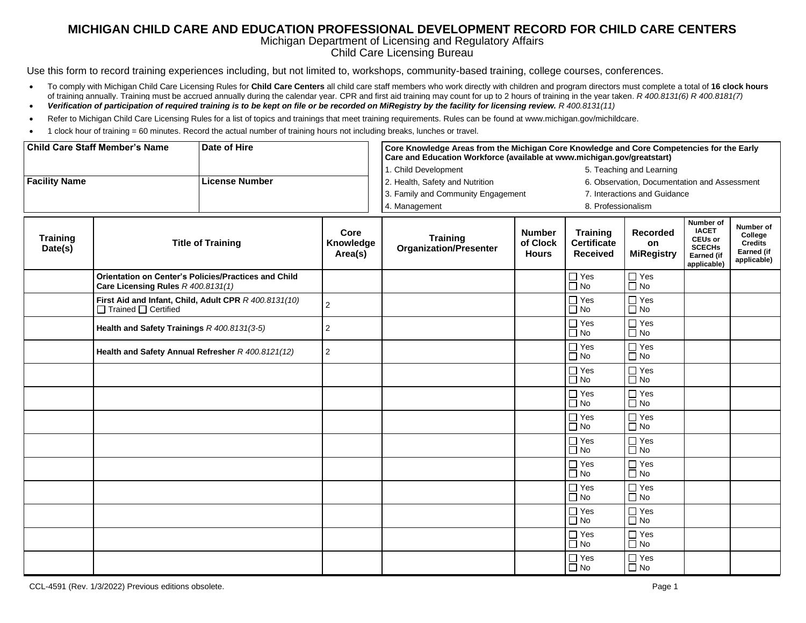## **MICHIGAN CHILD CARE AND EDUCATION PROFESSIONAL DEVELOPMENT RECORD FOR CHILD CARE CENTERS**

## Michigan Department of Licensing and Regulatory Affairs

Child Care Licensing Bureau

Use this form to record training experiences including, but not limited to, workshops, community-based training, college courses, conferences.

- To comply with Michigan Child Care Licensing Rules for **Child Care Centers** all child care staff members who work directly with children and program directors must complete a total of **16 clock hours** of training annually. Training must be accrued annually during the calendar year. CPR and first aid training may count for up to 2 hours of training in the year taken. *R 400.8131(6) R 400.8181(7)*
- *Verification of participation of required training is to be kept on file or be recorded on MiRegistry by the facility for licensing review. R 400.8131(11)*
- Refer to Michigan Child Care Licensing Rules for a list of topics and trainings that meet training requirements. Rules can be found at [www.michigan.gov/michildcare.](http://www.michigan.gov/michildcare)
- 1 clock hour of training = 60 minutes. Record the actual number of training hours not including breaks, lunches or travel.

| <b>Child Care Staff Member's Name</b>         |                                                                                            | Date of Hire |                                                                                 | Core Knowledge Areas from the Michigan Core Knowledge and Core Competencies for the Early<br>Care and Education Workforce (available at www.michigan.gov/greatstart) |                                           |                                                          |                                     |                                                                                                  |                                                                     |  |
|-----------------------------------------------|--------------------------------------------------------------------------------------------|--------------|---------------------------------------------------------------------------------|----------------------------------------------------------------------------------------------------------------------------------------------------------------------|-------------------------------------------|----------------------------------------------------------|-------------------------------------|--------------------------------------------------------------------------------------------------|---------------------------------------------------------------------|--|
|                                               |                                                                                            |              |                                                                                 | 1. Child Development                                                                                                                                                 |                                           |                                                          | 5. Teaching and Learning            |                                                                                                  |                                                                     |  |
| <b>Facility Name</b><br><b>License Number</b> |                                                                                            |              | 2. Health, Safety and Nutrition<br>6. Observation, Documentation and Assessment |                                                                                                                                                                      |                                           |                                                          |                                     |                                                                                                  |                                                                     |  |
|                                               |                                                                                            |              | 3. Family and Community Engagement                                              |                                                                                                                                                                      | 7. Interactions and Guidance              |                                                          |                                     |                                                                                                  |                                                                     |  |
|                                               |                                                                                            |              | 4. Management                                                                   |                                                                                                                                                                      |                                           | 8. Professionalism                                       |                                     |                                                                                                  |                                                                     |  |
| <b>Training</b><br>Date(s)                    | <b>Title of Training</b>                                                                   |              | Core<br>Knowledge<br>Area(s)                                                    | <b>Training</b><br><b>Organization/Presenter</b>                                                                                                                     | <b>Number</b><br>of Clock<br><b>Hours</b> | <b>Training</b><br><b>Certificate</b><br><b>Received</b> | Recorded<br>on<br><b>MiRegistry</b> | Number of<br><b>IACET</b><br><b>CEUs or</b><br><b>SCECHS</b><br><b>Earned (if</b><br>applicable) | Number of<br>College<br><b>Credits</b><br>Earned (if<br>applicable) |  |
|                                               | Orientation on Center's Policies/Practices and Child<br>Care Licensing Rules R 400.8131(1) |              |                                                                                 |                                                                                                                                                                      |                                           | $\Box$ Yes<br>$\Box$ No                                  | $\Box$ Yes<br>$\overline{\Box}$ No  |                                                                                                  |                                                                     |  |
|                                               | First Aid and Infant, Child, Adult CPR R 400.8131(10)<br>$\Box$ Trained $\Box$ Certified   |              | 2                                                                               |                                                                                                                                                                      |                                           | $\sqcap$ Yes<br>$\overline{\Box}$ No                     | $\Box$ Yes<br>$\overline{\Box}$ No  |                                                                                                  |                                                                     |  |
|                                               | Health and Safety Trainings R 400.8131(3-5)                                                |              | 2                                                                               |                                                                                                                                                                      |                                           | $\Box$ Yes<br>$\Box$ No                                  | $\Box$ Yes<br>$\overline{\Box}$ No  |                                                                                                  |                                                                     |  |
|                                               | Health and Safety Annual Refresher R 400.8121(12)                                          |              | $\overline{2}$                                                                  |                                                                                                                                                                      |                                           | $\Box$ Yes<br>$\Box$ No                                  | $\Box$ Yes<br>$\Box$ No             |                                                                                                  |                                                                     |  |
|                                               |                                                                                            |              |                                                                                 |                                                                                                                                                                      |                                           | $\Box$ Yes<br>$\Box$ No                                  | $\Box$ Yes<br>$\Box$ No             |                                                                                                  |                                                                     |  |
|                                               |                                                                                            |              |                                                                                 |                                                                                                                                                                      |                                           | $\Box$ Yes<br>$\Box$ No                                  | $\Box$ Yes<br>$\Box$ No             |                                                                                                  |                                                                     |  |
|                                               |                                                                                            |              |                                                                                 |                                                                                                                                                                      |                                           | $\Box$ Yes<br>$\Box$ No                                  | $\Box$ Yes<br>$\Box$ No             |                                                                                                  |                                                                     |  |
|                                               |                                                                                            |              |                                                                                 |                                                                                                                                                                      |                                           | $\Box$ Yes<br>$\Box$ No                                  | $\Box$ Yes<br>$\Box$ No             |                                                                                                  |                                                                     |  |
|                                               |                                                                                            |              |                                                                                 |                                                                                                                                                                      |                                           | $\Box$ Yes<br>$\Box$ No                                  | $\Box$ Yes<br>$\Box$ No             |                                                                                                  |                                                                     |  |
|                                               |                                                                                            |              |                                                                                 |                                                                                                                                                                      |                                           | $\Box$ Yes<br>$\Box$ No                                  | $\Box$ Yes<br>$\Box$ No             |                                                                                                  |                                                                     |  |
|                                               |                                                                                            |              |                                                                                 |                                                                                                                                                                      |                                           | $\Box$ Yes<br>$\Box$ No                                  | $\Box$ Yes<br>$\Box$ No             |                                                                                                  |                                                                     |  |
|                                               |                                                                                            |              |                                                                                 |                                                                                                                                                                      |                                           | $\Box$ Yes<br>$\Box$ No                                  | $\Box$ Yes<br>$\Box$ No             |                                                                                                  |                                                                     |  |
|                                               |                                                                                            |              |                                                                                 |                                                                                                                                                                      |                                           | $\Box$ Yes<br>$\Box$ No                                  | $\Box$ Yes<br>$\Box$ No             |                                                                                                  |                                                                     |  |